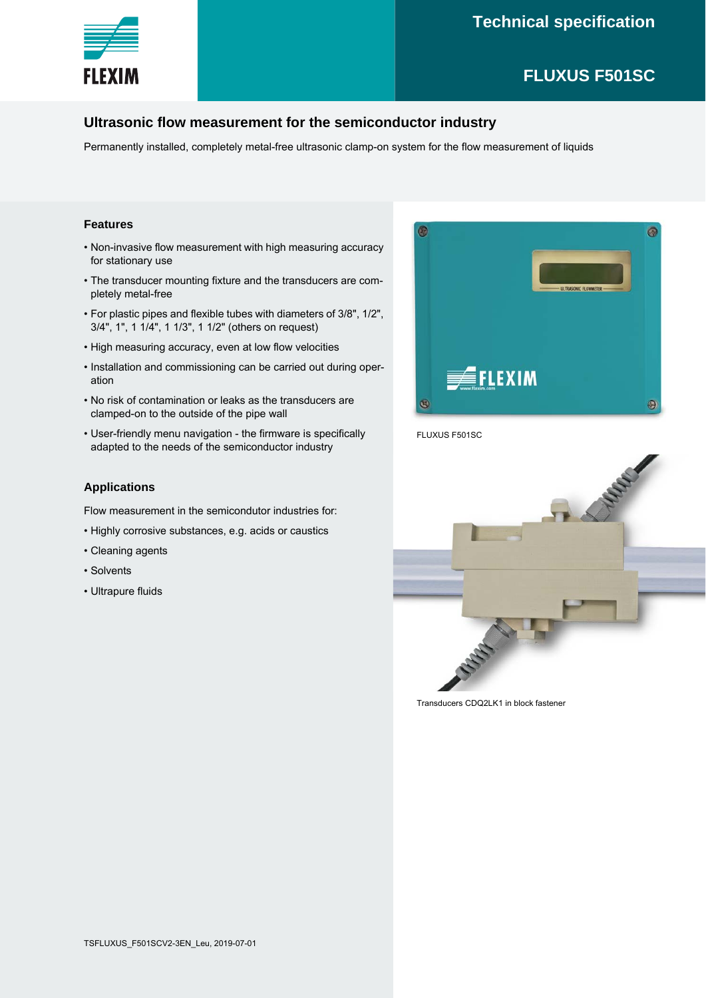

# **Technical specification**

# **FLUXUS F501SC**

### **Ultrasonic flow measurement for the semiconductor industry**

Permanently installed, completely metal-free ultrasonic clamp-on system for the flow measurement of liquids

#### **Features**

- Non-invasive flow measurement with high measuring accuracy for stationary use
- The transducer mounting fixture and the transducers are completely metal-free
- For plastic pipes and flexible tubes with diameters of 3/8", 1/2", 3/4", 1", 1 1/4", 1 1/3", 1 1/2" (others on request)
- High measuring accuracy, even at low flow velocities
- Installation and commissioning can be carried out during operation
- No risk of contamination or leaks as the transducers are clamped-on to the outside of the pipe wall
- User-friendly menu navigation the firmware is specifically adapted to the needs of the semiconductor industry

#### **Applications**

Flow measurement in the semicondutor industries for:

- Highly corrosive substances, e.g. acids or caustics
- Cleaning agents
- Solvents
- Ultrapure fluids



FLUXUS F501SC



Transducers CDQ2LK1 in block fastener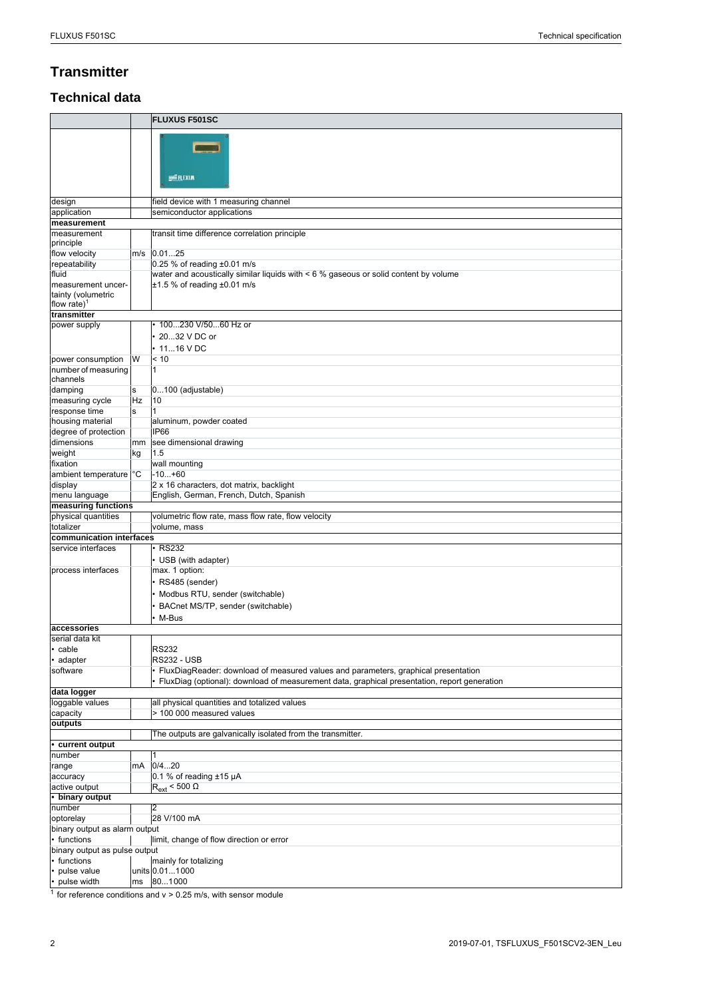# **Transmitter**

## **Technical data**

|                                                                     |    | <b>FLUXUS F501SC</b>                                                                                                    |
|---------------------------------------------------------------------|----|-------------------------------------------------------------------------------------------------------------------------|
|                                                                     |    | <b>SEFLEXIM</b>                                                                                                         |
| design                                                              |    | field device with 1 measuring channel                                                                                   |
| application                                                         |    | semiconductor applications                                                                                              |
| measurement                                                         |    |                                                                                                                         |
| measurement<br>principle                                            |    | transit time difference correlation principle                                                                           |
| flow velocity                                                       |    | m/s 0.0125                                                                                                              |
| repeatability                                                       |    | 0.25 % of reading ±0.01 m/s                                                                                             |
| fluid<br>measurement uncer-<br>tainty (volumetric<br>flow rate) $1$ |    | water and acoustically similar liquids with < 6 % gaseous or solid content by volume<br>$±1.5$ % of reading $±0.01$ m/s |
| transmitter                                                         |    |                                                                                                                         |
| power supply                                                        |    | 100230 V/5060 Hz or<br>2032 V DC or<br>$\cdot$ 1116 V DC                                                                |
| power consumption                                                   | W  | < 10                                                                                                                    |
| number of measuring<br>channels                                     |    | $\vert$ 1                                                                                                               |
| damping                                                             | s  | $0100$ (adjustable)                                                                                                     |
| measuring cycle                                                     | Hz | 10<br>$\overline{1}$                                                                                                    |
| response time<br>housing material                                   | s  | aluminum, powder coated                                                                                                 |
| degree of protection                                                |    | IP <sub>66</sub>                                                                                                        |
| dimensions                                                          | mm | see dimensional drawing                                                                                                 |
| weight                                                              | kg | 1.5                                                                                                                     |
| fixation                                                            |    | wall mounting                                                                                                           |
| ambient temperature <sup>c</sup> C                                  |    | $-10+60$                                                                                                                |
| display                                                             |    | 2 x 16 characters, dot matrix, backlight                                                                                |
| menu language                                                       |    | English, German, French, Dutch, Spanish                                                                                 |
| measuring functions<br>physical quantities                          |    | volumetric flow rate, mass flow rate, flow velocity                                                                     |
|                                                                     |    |                                                                                                                         |
|                                                                     |    |                                                                                                                         |
| totalizer                                                           |    | volume, mass                                                                                                            |
| communication interfaces<br>service interfaces                      |    | <b>RS232</b>                                                                                                            |
|                                                                     |    | • USB (with adapter)                                                                                                    |
| process interfaces                                                  |    | max. 1 option:                                                                                                          |
|                                                                     |    | • RS485 (sender)                                                                                                        |
|                                                                     |    | Modbus RTU, sender (switchable)                                                                                         |
|                                                                     |    | BACnet MS/TP, sender (switchable)                                                                                       |
|                                                                     |    | M-Bus                                                                                                                   |
| laccessories                                                        |    |                                                                                                                         |
| serial data kit                                                     |    |                                                                                                                         |
| cable                                                               |    | <b>RS232</b>                                                                                                            |
| adapter                                                             |    | <b>RS232 - USB</b>                                                                                                      |
| software                                                            |    | FluxDiagReader: download of measured values and parameters, graphical presentation                                      |
| data logger                                                         |    | FluxDiag (optional): download of measurement data, graphical presentation, report generation                            |
| loggable values                                                     |    | all physical quantities and totalized values                                                                            |
| capacity                                                            |    | > 100 000 measured values                                                                                               |
| outputs                                                             |    |                                                                                                                         |
|                                                                     |    | The outputs are galvanically isolated from the transmitter.                                                             |
| • current output                                                    |    |                                                                                                                         |
| number                                                              | mA | 0/420                                                                                                                   |
| range<br>accuracy                                                   |    | 0.1 % of reading $±15 \mu A$                                                                                            |
| active output                                                       |    | $R_{ext}$ < 500 $\Omega$                                                                                                |
| • binary output                                                     |    |                                                                                                                         |
| number                                                              |    | $\overline{2}$                                                                                                          |
| optorelay                                                           |    | 28 V/100 mA                                                                                                             |
| binary output as alarm output                                       |    |                                                                                                                         |
| • functions<br>binary output as pulse output                        |    | limit, change of flow direction or error                                                                                |
| • functions                                                         |    | mainly for totalizing                                                                                                   |
| pulse value<br>pulse width                                          | ms | units 0.011000<br>801000                                                                                                |

 $\frac{1}{1}$  for reference conditions and v > 0.25 m/s, with sensor module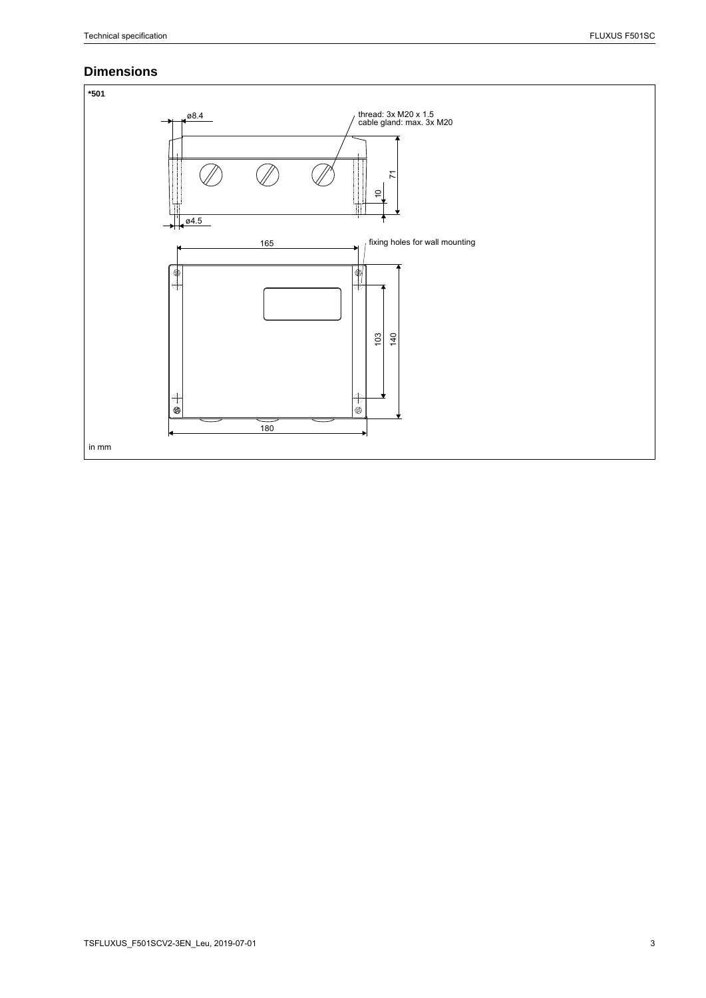### **Dimensions**

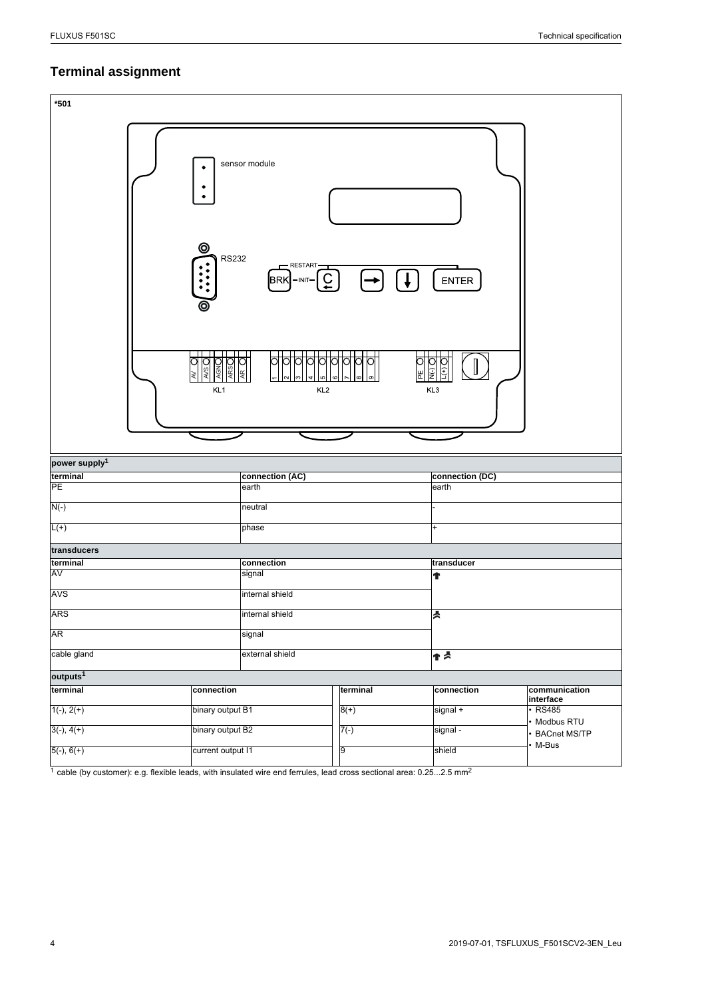# **Terminal assignment**

| $*501$                       |                                                                                                                             |                 |                          |                              |  |
|------------------------------|-----------------------------------------------------------------------------------------------------------------------------|-----------------|--------------------------|------------------------------|--|
|                              | sensor module<br>$\bullet$<br>۰<br>$\bullet$<br>⊚<br><b>RS232</b><br>- RESTART-<br>$\overline{C}$<br><b>BRK</b><br>$-INT -$ |                 | ENTER                    |                              |  |
|                              | KL <sub>1</sub><br>KL <sub>2</sub>                                                                                          | 뿐               | E<br>KL3                 |                              |  |
| power supply <sup>1</sup>    |                                                                                                                             |                 |                          |                              |  |
| terminal<br>PE               | connection (AC)<br>earth                                                                                                    |                 | connection (DC)<br>earth |                              |  |
| $N(-)$                       | neutral                                                                                                                     |                 |                          |                              |  |
| $L(+)$                       | phase                                                                                                                       |                 |                          |                              |  |
|                              |                                                                                                                             |                 | $+$                      |                              |  |
| transducers<br>terminal      | connection                                                                                                                  |                 | transducer               |                              |  |
| AV                           | signal                                                                                                                      |                 |                          |                              |  |
| AVS                          | internal shield                                                                                                             |                 |                          |                              |  |
| <b>ARS</b>                   |                                                                                                                             | internal shield |                          |                              |  |
| <b>AR</b>                    |                                                                                                                             |                 |                          |                              |  |
|                              |                                                                                                                             | signal          |                          |                              |  |
| cable gland                  |                                                                                                                             | external shield |                          | ተ≾                           |  |
| outputs <sup>1</sup>         |                                                                                                                             |                 |                          |                              |  |
| terminal                     | connection                                                                                                                  | terminal        | connection               | communication<br>interface   |  |
| $1(-), 2(+)$                 | binary output B1                                                                                                            | $8(+)$          | signal +                 | $\cdot$ RS485                |  |
|                              |                                                                                                                             |                 |                          |                              |  |
|                              |                                                                                                                             |                 |                          | Modbus RTU                   |  |
| $3(-), 4(+)$<br>$5(-), 6(+)$ | binary output B2<br>current output I1                                                                                       | $7(-)$<br>9     | signal -<br>shield       | <b>BACnet MS/TP</b><br>M-Bus |  |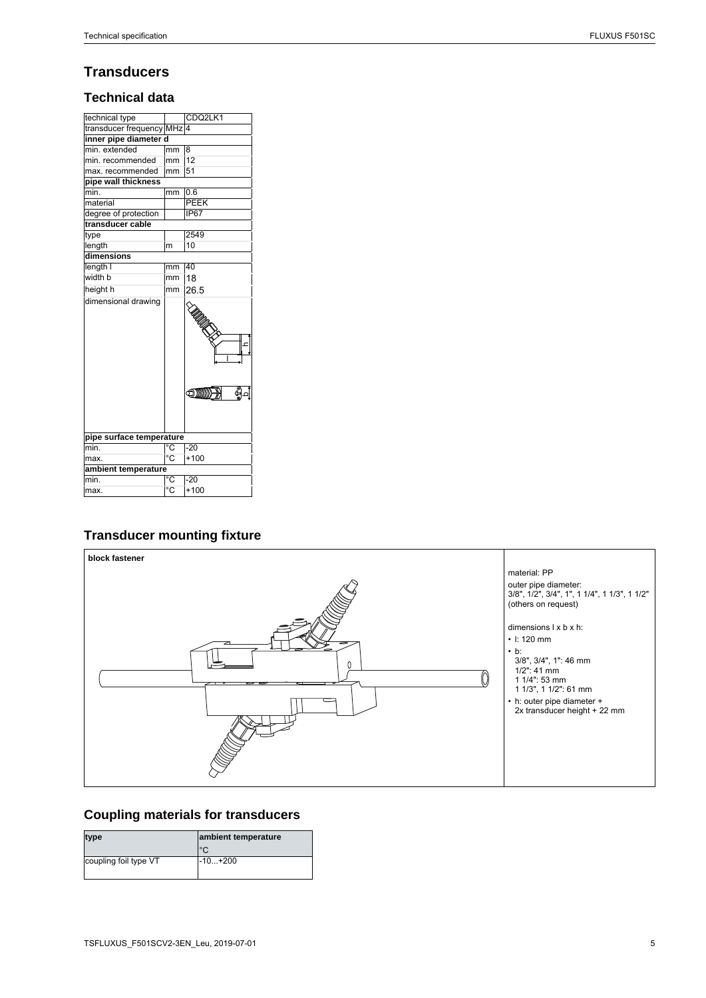# **Transducers**

#### **Technical data**

| technical type           |                | CDQ2LK1                |  |  |  |
|--------------------------|----------------|------------------------|--|--|--|
| transducer frequency MHz |                | $\Delta$               |  |  |  |
| inner pipe diameter d    |                |                        |  |  |  |
| min. extended            | mm             | l8                     |  |  |  |
| min. recommended         | mm             | 12                     |  |  |  |
| max. recommended         | mm             | 51                     |  |  |  |
| pipe wall thickness      |                |                        |  |  |  |
| min.                     | mm             | 0.6                    |  |  |  |
| material                 |                | PEEK                   |  |  |  |
| degree of protection     |                | <b>IP67</b>            |  |  |  |
| transducer cable         |                |                        |  |  |  |
| type                     |                | 2549                   |  |  |  |
| length                   | m              | 10                     |  |  |  |
| dimensions               |                |                        |  |  |  |
| length I                 | mm             | 40                     |  |  |  |
| width b                  | mm             | 18                     |  |  |  |
| height h                 | mm             | 26.5                   |  |  |  |
|                          |                | .<br>UMR<br>ę<br>oimm- |  |  |  |
| pipe surface temperature |                |                        |  |  |  |
| min.                     | ℃              | $-20$                  |  |  |  |
| max.                     | $\overline{C}$ | $+100$                 |  |  |  |
| ambient temperature      |                |                        |  |  |  |
| min.                     | °C             | $-20$                  |  |  |  |
| max.                     | $^{\circ}C$    | $+100$                 |  |  |  |

## **Transducer mounting fixture**



# **Coupling materials for transducers**

| type                  | ambient temperature |
|-----------------------|---------------------|
|                       | °∩                  |
| coupling foil type VT | -10+200             |
|                       |                     |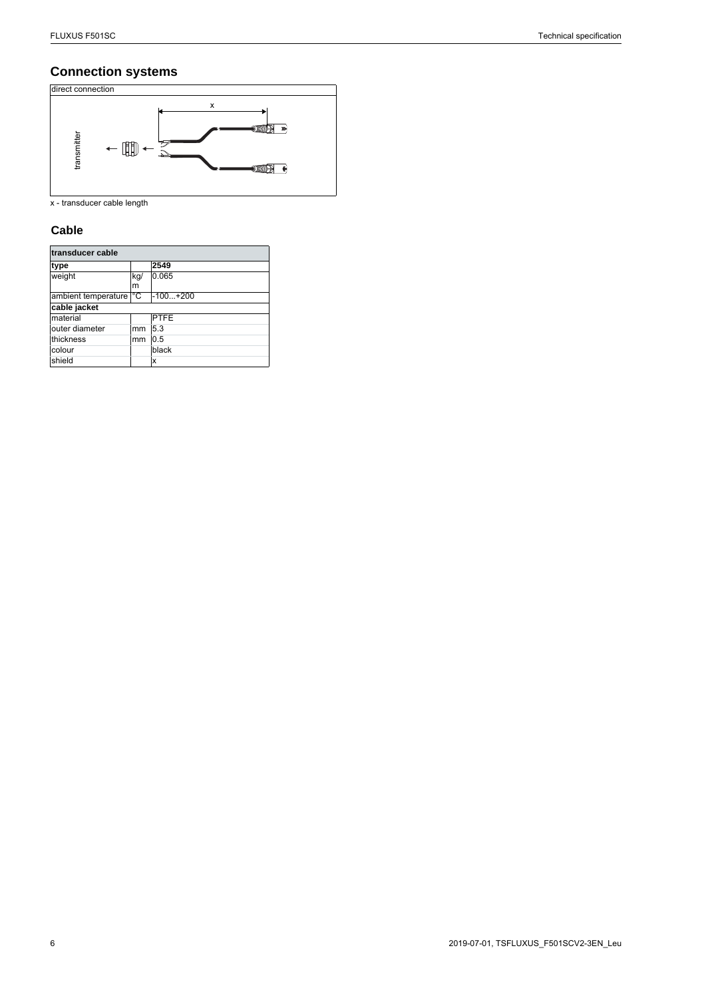## **Connection systems**



#### **Cable**

| transmitter                 |          |             |
|-----------------------------|----------|-------------|
| x - transducer cable length |          |             |
| Cable                       |          |             |
| transducer cable            |          |             |
| type                        |          | 2549        |
| weight                      | kg/<br>m | 0.065       |
| ambient temperature         | °C       | $-100+200$  |
| cable jacket                |          |             |
| material                    |          | <b>PTFE</b> |
| outer diameter              | mm       | 5.3         |
| thickness                   | mm       | 0.5         |
| colour                      |          | black       |
| shield                      |          | X           |